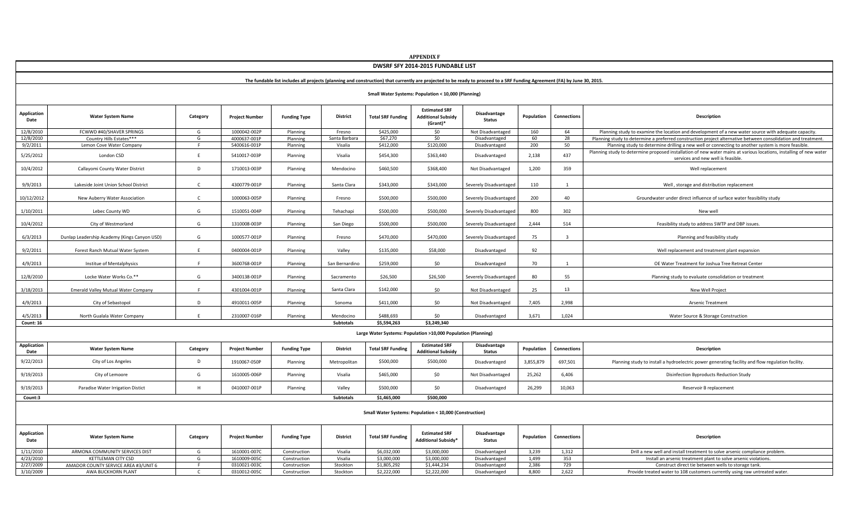| <b>APPENDIX F</b>                                                                                                                                                         |                                              |              |                              |                      |                    |                          |                                                               |                                |              |                         |                                                                                                                                                                                                                                                               |  |  |
|---------------------------------------------------------------------------------------------------------------------------------------------------------------------------|----------------------------------------------|--------------|------------------------------|----------------------|--------------------|--------------------------|---------------------------------------------------------------|--------------------------------|--------------|-------------------------|---------------------------------------------------------------------------------------------------------------------------------------------------------------------------------------------------------------------------------------------------------------|--|--|
| DWSRF SFY 2014-2015 FUNDABLE LIST                                                                                                                                         |                                              |              |                              |                      |                    |                          |                                                               |                                |              |                         |                                                                                                                                                                                                                                                               |  |  |
| The fundable list includes all projects (planning and construction) that currently are projected to be ready to proceed to a SRF Funding Agreement (FA) by June 30, 2015. |                                              |              |                              |                      |                    |                          |                                                               |                                |              |                         |                                                                                                                                                                                                                                                               |  |  |
| Small Water Systems: Population < 10,000 (Planning)                                                                                                                       |                                              |              |                              |                      |                    |                          |                                                               |                                |              |                         |                                                                                                                                                                                                                                                               |  |  |
| Application<br>Date                                                                                                                                                       | <b>Water System Name</b>                     | Category     | <b>Project Number</b>        | <b>Funding Type</b>  | <b>District</b>    | <b>Total SRF Funding</b> | <b>Estimated SRF</b><br><b>Additional Subsidy</b><br>(Grant)* | Disadvantage<br><b>Status</b>  | Population   | <b>Connections</b>      | Description                                                                                                                                                                                                                                                   |  |  |
| 12/8/2010                                                                                                                                                                 | FCWWD #40/SHAVER SPRINGS                     | G            | 1000042-002P                 | Planning             | Fresno             | \$425,000                | \$0                                                           | Not Disadvantaged              | 160          | 64                      | Planning study to examine the location and development of a new water source with adequate capacity.                                                                                                                                                          |  |  |
| 12/8/2010                                                                                                                                                                 | Country Hills Estates***                     | G            | 4000637-001P                 | Planning             | Santa Barbara      | \$67,270                 | \$0                                                           | Disadvantaged                  | 60           | 28                      | Planning study to determine a preferred construction project alternative between consolidation and treatment.                                                                                                                                                 |  |  |
| 9/2/2011<br>5/25/2012                                                                                                                                                     | Lemon Cove Water Company<br>London CSD       | E            | 5400616-001P<br>5410017-003P | Planning<br>Planning | Visalia<br>Visalia | \$412,000<br>\$454,300   | \$120,000<br>\$363,440                                        | Disadvantaged<br>Disadvantaged | 200<br>2,138 | 50<br>437               | Planning study to determine drilling a new well or connecting to another system is more feasible.<br>Planning study to determine proposed installation of new water mains at various locations, installing of new water<br>services and new well is feasible. |  |  |
| 10/4/2012                                                                                                                                                                 | Callayomi County Water District              | D            | 1710013-003P                 | Planning             | Mendocino          | \$460,500                | \$368,400                                                     | Not Disadvantaged              | 1,200        | 359                     | Well replacement                                                                                                                                                                                                                                              |  |  |
| 9/9/2013                                                                                                                                                                  | Lakeside Joint Union School District         | $\mathsf{C}$ | 4300779-001P                 | Planning             | Santa Clara        | \$343,000                | \$343,000                                                     | Severely Disadvantaged         | 110          | 1                       | Well, storage and distribution replacement                                                                                                                                                                                                                    |  |  |
| 10/12/2012                                                                                                                                                                | New Auberry Water Association                | $\mathsf{C}$ | 1000063-005P                 | Planning             | Fresno             | \$500,000                | \$500,000                                                     | Severely Disadvantaged         | 200          | 40                      | Groundwater under direct influence of surface water feasibility study                                                                                                                                                                                         |  |  |
| 1/10/2011                                                                                                                                                                 | Lebec County WD                              | G            | 1510051-004P                 | Planning             | Tehachapi          | \$500,000                | \$500,000                                                     | Severely Disadvantaged         | 800          | 302                     | New well                                                                                                                                                                                                                                                      |  |  |
| 10/4/2012                                                                                                                                                                 | City of Westmorland                          | G            | 1310008-003P                 | Planning             | San Diego          | \$500,000                | \$500,000                                                     | Severely Disadvantaged         | 2.444        | 514                     | Feasibility study to address SWTP and DBP issues.                                                                                                                                                                                                             |  |  |
| 6/3/2013                                                                                                                                                                  | Dunlap Leadership Academy (Kings Canyon USD) | G            | 1000577-001P                 | Planning             | Fresno             | \$470,000                | \$470,000                                                     | Severely Disadvantaged         | 75           | $\overline{\mathbf{3}}$ | Planning and feasibility study                                                                                                                                                                                                                                |  |  |
| 9/2/2011                                                                                                                                                                  | Forest Ranch Mutual Water System             | F            | 0400004-001P                 | Planning             | Valley             | \$135,000                | \$58,000                                                      | Disadvantaged                  | 92           |                         | Well replacement and treatment plant expansion                                                                                                                                                                                                                |  |  |
| 4/9/2013                                                                                                                                                                  | Institue of Mentalphysics                    | F            | 3600768-001P                 | Planning             | San Bernardino     | \$259,000                | \$0                                                           | Disadvantaged                  | 70           |                         | OE Water Treatment for Joshua Tree Retreat Center                                                                                                                                                                                                             |  |  |
| 12/8/2010                                                                                                                                                                 | Locke Water Works Co.**                      | G            | 3400138-001P                 | Planning             | Sacramento         | \$26,500                 | \$26,500                                                      | Severely Disadvantaged         | 80           | 55                      | Planning study to evaluate consolidation or treatment                                                                                                                                                                                                         |  |  |
| 3/18/2013                                                                                                                                                                 | <b>Emerald Valley Mutual Water Company</b>   |              | 4301004-001P                 | Planning             | Santa Clara        | \$142,000                | \$0                                                           | Not Disadvantaged              | 25           | 13                      | New Well Project                                                                                                                                                                                                                                              |  |  |
| 4/9/2013                                                                                                                                                                  | City of Sebastopol                           | D            | 4910011-005P                 | Planning             | Sonoma             | \$411,000                | \$0                                                           | Not Disadvantaged              | 7,405        | 2,998                   | Arsenic Treatment                                                                                                                                                                                                                                             |  |  |
| 4/5/2013                                                                                                                                                                  | North Gualala Water Company                  |              | 2310007-016P                 | Planning             | Mendocino          | \$488,693                | \$0<br>\$3,249,340                                            | Disadvantaged                  | 3,671        | 1,024                   | Water Source & Storage Construction                                                                                                                                                                                                                           |  |  |
| Count: 16                                                                                                                                                                 |                                              |              |                              |                      | <b>Subtotals</b>   | \$5,594,263              |                                                               |                                |              |                         |                                                                                                                                                                                                                                                               |  |  |
|                                                                                                                                                                           |                                              |              |                              |                      |                    |                          | Large Water Systems: Population >10,000 Population (Planning) |                                |              |                         |                                                                                                                                                                                                                                                               |  |  |
| <b>Application</b><br>Date                                                                                                                                                | <b>Water System Name</b>                     | Category     | <b>Project Number</b>        | <b>Funding Type</b>  | <b>District</b>    | <b>Total SRF Funding</b> | <b>Estimated SRF</b><br><b>Additional Subsidy</b>             | Disadvantage<br><b>Status</b>  | Population   | Connections             | Description                                                                                                                                                                                                                                                   |  |  |
| 9/22/2013                                                                                                                                                                 | City of Los Angeles                          | D            | 1910067-050P                 | Planning             | Metropolitan       | \$500,000                | \$500,000                                                     | Disadvantaged                  | 3,855,879    | 697,501                 | Planning study to install a hydroelectric power generating facility and flow regulation facility.                                                                                                                                                             |  |  |
| 9/19/2013                                                                                                                                                                 | City of Lemoore                              | G            | 1610005-006P                 | Planning             | Visalia            | \$465,000                | \$0                                                           | Not Disadvantaged              | 25,262       | 6,406                   | Disinfection Byproducts Reduction Study                                                                                                                                                                                                                       |  |  |
| 9/19/2013                                                                                                                                                                 | Paradise Water Irrigation Distict            | H            | 0410007-001P                 | Planning             | Valley             | \$500,000                | \$0                                                           | Disadvantaged                  | 26,299       | 10,063                  | Reservoir B replacement                                                                                                                                                                                                                                       |  |  |
| <b>Subtotals</b><br>\$1,465,000<br>\$500,000<br>Count:3                                                                                                                   |                                              |              |                              |                      |                    |                          |                                                               |                                |              |                         |                                                                                                                                                                                                                                                               |  |  |
| Small Water Systems: Population < 10,000 (Construction)                                                                                                                   |                                              |              |                              |                      |                    |                          |                                                               |                                |              |                         |                                                                                                                                                                                                                                                               |  |  |
| <b>Application</b><br>Date                                                                                                                                                | <b>Water System Name</b>                     | Category     | <b>Project Number</b>        | <b>Funding Type</b>  | <b>District</b>    | <b>Total SRF Funding</b> | <b>Estimated SRF</b><br><b>Additional Subsidy*</b>            | Disadvantage<br><b>Status</b>  | Population   | Connections             | Description                                                                                                                                                                                                                                                   |  |  |
| 1/11/2010                                                                                                                                                                 | ARMONA COMMUNITY SERVICES DIST               | G            | 1610001-007C                 | Construction         | Visalia            | \$6.032.000              | \$3,000,000                                                   | Disadvantaged                  | 3,239        | 1,312                   | Drill a new well and install treatment to solve arsenic compliance problem.                                                                                                                                                                                   |  |  |
| 4/23/2010                                                                                                                                                                 | KETTLEMAN CITY CSD                           | G            | 1610009-005C                 | Construction         | Visalia            | \$3,000,000              | \$3,000,000                                                   | Disadvantaged                  | 1,499        | 353                     | Install an arsenic treatment plant to solve arsenic violations.                                                                                                                                                                                               |  |  |
| 2/27/2009                                                                                                                                                                 | AMADOR COUNTY SERVICE AREA #3/UNIT 6         | E            | 0310021-003C                 | Construction         | Stockton           | \$1,805,292              | \$1,444,234                                                   | Disadvantaged                  | 2,386        | 729                     | Construct direct tie between wells to storage tank.                                                                                                                                                                                                           |  |  |
| 3/10/2009                                                                                                                                                                 | AWA BUCKHORN PLANT                           | $\mathsf{C}$ | 0310012-005C                 | Construction         | Stockton           | \$2,222,000              | \$2,222,000                                                   | Disadvantaged                  | 8,800        | 2,622                   | Provide treated water to 108 customers currently using raw untreated water.                                                                                                                                                                                   |  |  |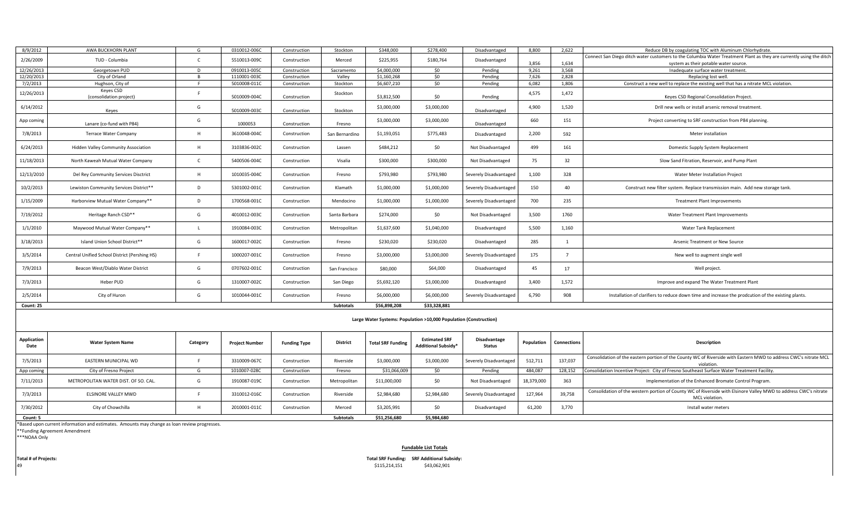| 8/9/2012                   | AWA BUCKHORN PLANT                                                                          | G            | 0310012-006C          | Construction        | Stockton         | \$348,000                | \$278,400                                          | Disadvantaged                 | 8,800          | 2.622              | Reduce DB by coagulating TOC with Aluminum Chlorhydrate.                                                                                 |  |  |
|----------------------------|---------------------------------------------------------------------------------------------|--------------|-----------------------|---------------------|------------------|--------------------------|----------------------------------------------------|-------------------------------|----------------|--------------------|------------------------------------------------------------------------------------------------------------------------------------------|--|--|
| 2/26/2009                  | TUD - Columbia                                                                              |              | 5510013-009C          | Construction        | Merced           | \$225,955                | \$180,764                                          | Disadvantaged                 |                |                    | Connect San Diego ditch water customers to the Columbia Water Treatment Plant as they are currently using the ditch                      |  |  |
| 12/26/2013                 | Georgetown PUD                                                                              | D            | 0910013-005C          | Construction        | Sacramento       | \$4,000,000              | \$0                                                | Pending                       | 3,856<br>9,261 | 1,634<br>3,568     | system as their potable water source.<br>Inadequate surface water treatment.                                                             |  |  |
| 12/20/2013                 | City of Orland                                                                              |              | 1110001-003C          | Construction        | Valley           | \$1,160,268              | \$0                                                | Pending                       | 7,626          | 2,828              | Replacing lost well                                                                                                                      |  |  |
| 7/2/2013                   | Hughson, City of                                                                            | F.           | 5010008-011C          | Construction        | Stockton         | \$6,607,210              | \$0                                                | Pending                       | 6,082          | 1,806              | Construct a new well to replace the existing well that has a nitrate MCL violation.                                                      |  |  |
|                            | Keyes CSD                                                                                   |              |                       |                     |                  |                          |                                                    |                               |                |                    |                                                                                                                                          |  |  |
| 12/26/2013                 | (consolidation project)                                                                     | F.           | 5010009-004C          | Construction        | Stockton         | \$3,812,500              | \$0                                                | Pending                       | 4,575          | 1,472              | Keyes CSD Regional Consolidation Project.                                                                                                |  |  |
| 6/14/2012                  | Keyes                                                                                       | G            | 5010009-003C          | Construction        | Stockton         | \$3,000,000              | \$3,000,000                                        | Disadvantaged                 | 4,900          | 1,520              | Drill new wells or install arsenic removal treatment.                                                                                    |  |  |
| App coming                 | Lanare (co-fund with P84)                                                                   | G            | 1000053               | Construction        | Fresno           | \$3,000,000              | \$3,000,000                                        | Disadvantaged                 | 660            | 151                | Project converting to SRF construction from P84 planning.                                                                                |  |  |
| 7/8/2013                   | <b>Terrace Water Company</b>                                                                | H            | 3610048-004C          | Construction        | San Bernardino   | \$1,193,051              | \$775,483                                          | Disadvantaged                 | 2,200          | 592                | Meter installation                                                                                                                       |  |  |
| 6/24/2013                  | <b>Hidden Valley Community Association</b>                                                  | H            | 3103836-002C          | Construction        | Lassen           | \$484,212                | \$0                                                | Not Disadvantaged             | 499            | 161                | Domestic Supply System Replacement                                                                                                       |  |  |
| 11/18/2013                 | North Kaweah Mutual Water Company                                                           |              | 5400506-004C          | Construction        | Visalia          | \$300,000                | \$300,000                                          | Not Disadvantaged             | 75             | 32                 | Slow Sand Fitration, Reservoir, and Pump Plant                                                                                           |  |  |
| 12/13/2010                 | Del Rey Community Services Disctrict                                                        | H            | 1010035-004C          | Construction        | Fresno           | \$793,980                | \$793,980                                          | Severely Disadvantaged        | 1,100          | 328                | Water Meter Installation Project                                                                                                         |  |  |
| 10/2/2013                  | Lewiston Community Services District**                                                      | D            | 5301002-001C          | Construction        | Klamath          | \$1,000,000              | \$1,000,000                                        | Severely Disadvantaged        | 150            | 40                 | Construct new filter system. Replace transmission main. Add new storage tank.                                                            |  |  |
| 1/15/2009                  | Harborview Mutual Water Company**                                                           | D            | 1700568-001C          | Construction        | Mendocino        | \$1,000,000              | \$1,000,000                                        | Severely Disadvantaged        | 700            | 235                | <b>Treatment Plant Improvements</b>                                                                                                      |  |  |
| 7/19/2012                  | Heritage Ranch CSD**                                                                        | G            | 4010012-003C          | Construction        | Santa Barbara    | \$274,000                | \$0                                                | Not Disadvantaged             | 3,500          | 1760               | Water Treatment Plant Improvements                                                                                                       |  |  |
| 1/1/2010                   | Maywood Mutual Water Company**                                                              | $\mathbf{L}$ | 1910084-003C          | Construction        | Metropolitan     | \$1,637,600              | \$1,040,000                                        | Disadvantaged                 | 5,500          | 1,160              | Water Tank Replacement                                                                                                                   |  |  |
| 3/18/2013                  | Island Union School District**                                                              | G            | 1600017-002C          | Construction        | Fresno           | \$230,020                | \$230,020                                          | Disadvantaged                 | 285            | 1                  | Arsenic Treatment or New Source                                                                                                          |  |  |
| 3/5/2014                   | Central Unified School District (Pershing HS)                                               |              | 1000207-001C          | Construction        | Fresno           | \$3,000,000              | \$3,000,000                                        | Severely Disadvantaged        | 175            | $\overline{7}$     | New well to augment single well                                                                                                          |  |  |
| 7/9/2013                   | Beacon West/Diablo Water District                                                           | G            | 0707602-001C          | Construction        | San Francisco    | \$80,000                 | \$64,000                                           | Disadvantaged                 | 45             | 17                 | Well project.                                                                                                                            |  |  |
| 7/3/2013                   | Heber PUD                                                                                   | G            | 1310007-002C          | Construction        | San Diego        | \$5,692,120              | \$3,000,000                                        | Disadvantaged                 | 3,400          | 1,572              | Improve and expand The Water Treatment Plant                                                                                             |  |  |
| 2/5/2014                   | City of Huron                                                                               | G            | 1010044-001C          | Construction        | Fresno           | \$6,000,000              | \$6,000,000                                        | Severely Disadvantaged        | 6,790          | 908                | Installation of clarifiers to reduce down time and increase the prodcution of the existing plants.                                       |  |  |
| Count: 25                  |                                                                                             |              |                       |                     | <b>Subtotals</b> | \$56,898,208             | \$33,328,881                                       |                               |                |                    |                                                                                                                                          |  |  |
|                            | Large Water Systems: Population >10,000 Population (Construction)                           |              |                       |                     |                  |                          |                                                    |                               |                |                    |                                                                                                                                          |  |  |
| <b>Application</b><br>Date | <b>Water System Name</b>                                                                    | Category     | <b>Project Number</b> | <b>Funding Type</b> | <b>District</b>  | <b>Total SRF Funding</b> | <b>Estimated SRF</b><br><b>Additional Subsidy*</b> | Disadvantage<br><b>Status</b> | Population     | <b>Connections</b> | Description                                                                                                                              |  |  |
| 7/5/2013                   | EASTERN MUNICIPAL WD                                                                        | E.           | 3310009-067C          | Construction        | Riverside        | \$3,000,000              | \$3,000,000                                        | Severely Disadvantaged        | 512,711        | 137,037            | Consolidation of the eastern portion of the County WC of Riverside with Eastern MWD to address CWC's nitrate MCL<br>violation.           |  |  |
| App coming                 | City of Fresno Project                                                                      | G            | 1010007-028C          | Construction        | Fresno           | \$31,066,009             | \$0                                                | Pending                       | 484,087        | 128,152            | Consolidation Incentive Project: City of Fresno Southeast Surface Water Treatment Facility.                                              |  |  |
| 7/11/2013                  | METROPOLITAN WATER DIST. OF SO. CAL.                                                        | G            | 1910087-019C          | Construction        | Metropolitan     | \$11,000,000             | \$0                                                | Not Disadvantaged             | 18,379,000     | 363                | Implementation of the Enhanced Bromate Control Program.                                                                                  |  |  |
| 7/3/2013                   | ELSINORE VALLEY MWD                                                                         | F.           | 3310012-016C          | Construction        | Riverside        | \$2,984,680              | \$2,984,680                                        | Severely Disadvantaged        | 127,964        | 39,758             | Consolidation of the western portion of County WC of Riverside with Elsinore Valley MWD to address CWC's nitrate<br><b>MCL</b> violation |  |  |
| 7/30/2012                  | City of Chowchilla                                                                          | H            | 2010001-011C          | Construction        | Merced           | \$3,205,991              | \$0                                                | Disadvantaged                 | 61,200         | 3,770              | Install water meters                                                                                                                     |  |  |
| Count: 5                   |                                                                                             |              |                       |                     | <b>Subtotals</b> | \$51,256,680             | \$5,984,680                                        |                               |                |                    |                                                                                                                                          |  |  |
|                            | Based upon current information and estimates. Amounts may change as loan review progresses. |              |                       |                     |                  |                          |                                                    |                               |                |                    |                                                                                                                                          |  |  |
|                            | *Funding Agreement Amendment                                                                |              |                       |                     |                  |                          |                                                    |                               |                |                    |                                                                                                                                          |  |  |
| ***NOAA Only               |                                                                                             |              |                       |                     |                  |                          |                                                    |                               |                |                    |                                                                                                                                          |  |  |

Total # of Projects:<br> $49$ 

**Fundable List Totals**

**Total SRF Funding: SRF Additional Subsidy:**<br>\$115,214,151 \$43,062,901